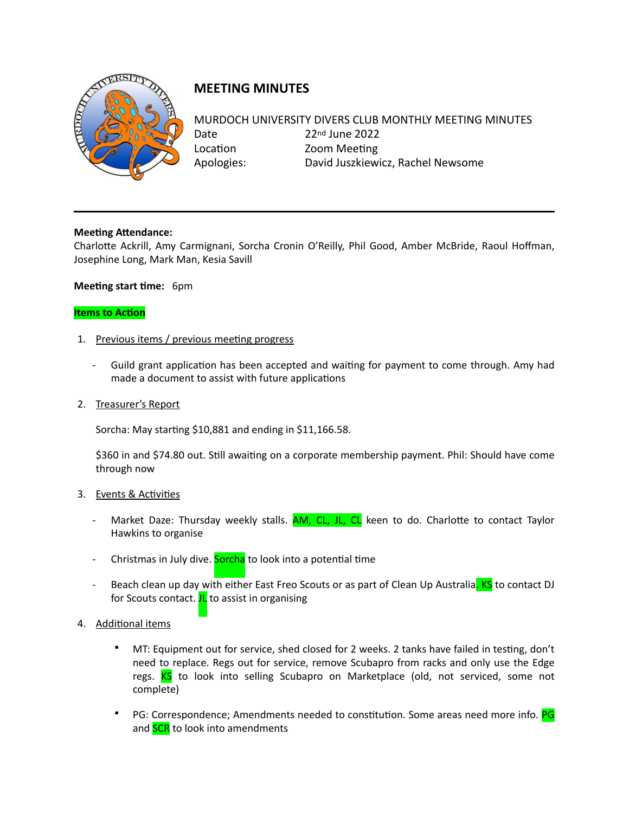

## **MEETING MINUTES**

## MURDOCH UNIVERSITY DIVERS CLUB MONTHLY MEETING MINUTES Date 22nd June 2022 Location **Zoom** Meeting Apologies: David Juszkiewicz, Rachel Newsome

**Meeting Attendance:** Charlotte Ackrill, Amy Carmignani, Sorcha Cronin O'Reilly, Phil Good, Amber McBride, Raoul Hoffman, Josephine Long, Mark Man, Kesia Savill

## **Meeting start time:** 6pm

## **Items to Action**

- 1. Previous items / previous meeting progress
	- Guild grant application has been accepted and waiting for payment to come through. Amy had made a document to assist with future applications
- 2. Treasurer's Report

Sorcha: May starting  $$10,881$  and ending in  $$11,166.58$ .

\$360 in and \$74.80 out. Still awaiting on a corporate membership payment. Phil: Should have come through now

- 3. Events & Activities
	- Market Daze: Thursday weekly stalls. **AM, CL, JL, CL** keen to do. Charlotte to contact Taylor Hawkins to organise
	- Christmas in July dive. **Sorcha** to look into a potential time
	- Beach clean up day with either East Freo Scouts or as part of Clean Up Australia. KS to contact DJ for Scouts contact.  $JL$  to assist in organising
- 4. Additional items
	- MT: Equipment out for service, shed closed for 2 weeks. 2 tanks have failed in testing, don't need to replace. Regs out for service, remove Scubapro from racks and only use the Edge regs. KS to look into selling Scubapro on Marketplace (old, not serviced, some not complete)
	- PG: Correspondence; Amendments needed to constitution. Some areas need more info. PG and **SCR** to look into amendments